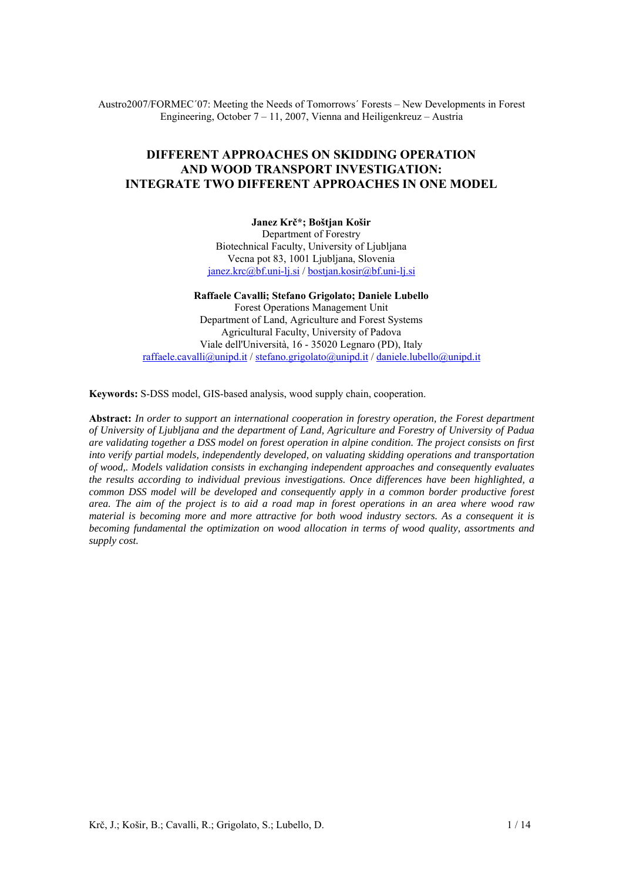Austro2007/FORMEC´07: Meeting the Needs of Tomorrows´ Forests – New Developments in Forest Engineering, October 7 – 11, 2007, Vienna and Heiligenkreuz – Austria

# **DIFFERENT APPROACHES ON SKIDDING OPERATION AND WOOD TRANSPORT INVESTIGATION: INTEGRATE TWO DIFFERENT APPROACHES IN ONE MODEL**

**Janez Krč\*; Boštjan Košir**  Department of Forestry Biotechnical Faculty, University of Ljubljana Vecna pot 83, 1001 Ljubljana, Slovenia janez.krc@bf.uni-lj.si / bostjan.kosir@bf.uni-lj.si

#### **Raffaele Cavalli; Stefano Grigolato; Daniele Lubello**

Forest Operations Management Unit Department of Land, Agriculture and Forest Systems Agricultural Faculty, University of Padova Viale dell'Università, 16 - 35020 Legnaro (PD), Italy raffaele.cavalli@unipd.it / stefano.grigolato@unipd.it / daniele.lubello@unipd.it

**Keywords:** S-DSS model, GIS-based analysis, wood supply chain, cooperation.

**Abstract:** *In order to support an international cooperation in forestry operation, the Forest department of University of Ljubljana and the department of Land, Agriculture and Forestry of University of Padua are validating together a DSS model on forest operation in alpine condition. The project consists on first into verify partial models, independently developed, on valuating skidding operations and transportation of wood,. Models validation consists in exchanging independent approaches and consequently evaluates the results according to individual previous investigations. Once differences have been highlighted, a common DSS model will be developed and consequently apply in a common border productive forest area. The aim of the project is to aid a road map in forest operations in an area where wood raw material is becoming more and more attractive for both wood industry sectors. As a consequent it is becoming fundamental the optimization on wood allocation in terms of wood quality, assortments and supply cost.*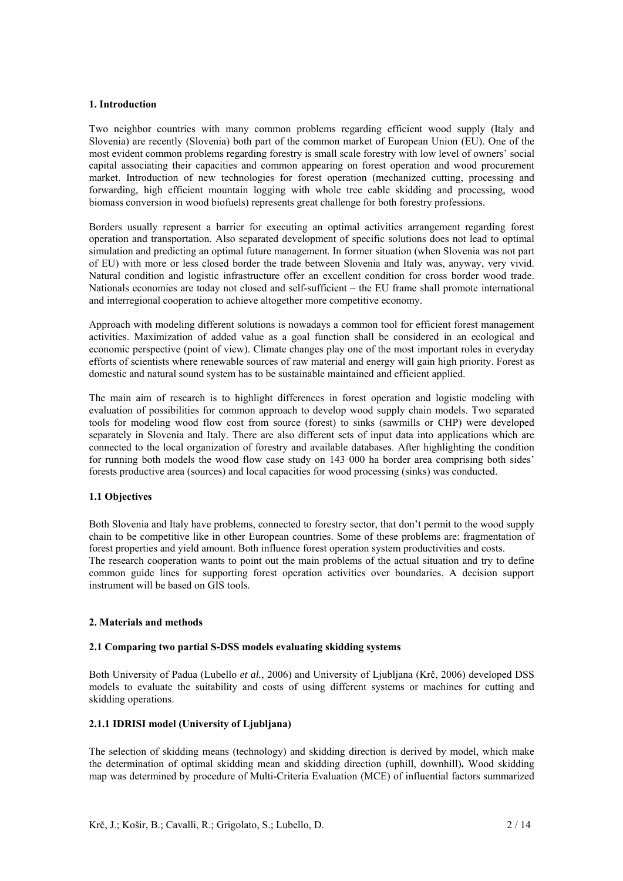#### **1. Introduction**

Two neighbor countries with many common problems regarding efficient wood supply (Italy and Slovenia) are recently (Slovenia) both part of the common market of European Union (EU). One of the most evident common problems regarding forestry is small scale forestry with low level of owners' social capital associating their capacities and common appearing on forest operation and wood procurement market. Introduction of new technologies for forest operation (mechanized cutting, processing and forwarding, high efficient mountain logging with whole tree cable skidding and processing, wood biomass conversion in wood biofuels) represents great challenge for both forestry professions.

Borders usually represent a barrier for executing an optimal activities arrangement regarding forest operation and transportation. Also separated development of specific solutions does not lead to optimal simulation and predicting an optimal future management. In former situation (when Slovenia was not part of EU) with more or less closed border the trade between Slovenia and Italy was, anyway, very vivid. Natural condition and logistic infrastructure offer an excellent condition for cross border wood trade. Nationals economies are today not closed and self-sufficient – the EU frame shall promote international and interregional cooperation to achieve altogether more competitive economy.

Approach with modeling different solutions is nowadays a common tool for efficient forest management activities. Maximization of added value as a goal function shall be considered in an ecological and economic perspective (point of view). Climate changes play one of the most important roles in everyday efforts of scientists where renewable sources of raw material and energy will gain high priority. Forest as domestic and natural sound system has to be sustainable maintained and efficient applied.

The main aim of research is to highlight differences in forest operation and logistic modeling with evaluation of possibilities for common approach to develop wood supply chain models. Two separated tools for modeling wood flow cost from source (forest) to sinks (sawmills or CHP) were developed separately in Slovenia and Italy. There are also different sets of input data into applications which are connected to the local organization of forestry and available databases. After highlighting the condition for running both models the wood flow case study on 143 000 ha border area comprising both sides' forests productive area (sources) and local capacities for wood processing (sinks) was conducted.

### **1.1 Objectives**

Both Slovenia and Italy have problems, connected to forestry sector, that don't permit to the wood supply chain to be competitive like in other European countries. Some of these problems are: fragmentation of forest properties and yield amount. Both influence forest operation system productivities and costs. The research cooperation wants to point out the main problems of the actual situation and try to define common guide lines for supporting forest operation activities over boundaries. A decision support instrument will be based on GIS tools.

# **2. Materials and methods**

## **2.1 Comparing two partial S-DSS models evaluating skidding systems**

Both University of Padua (Lubello *et al.*, 2006) and University of Ljubljana (Krč, 2006) developed DSS models to evaluate the suitability and costs of using different systems or machines for cutting and skidding operations.

# **2.1.1 IDRISI model (University of Ljubljana)**

The selection of skidding means (technology) and skidding direction is derived by model, which make the determination of optimal skidding mean and skidding direction (uphill, downhill)**.** Wood skidding map was determined by procedure of Multi-Criteria Evaluation (MCE) of influential factors summarized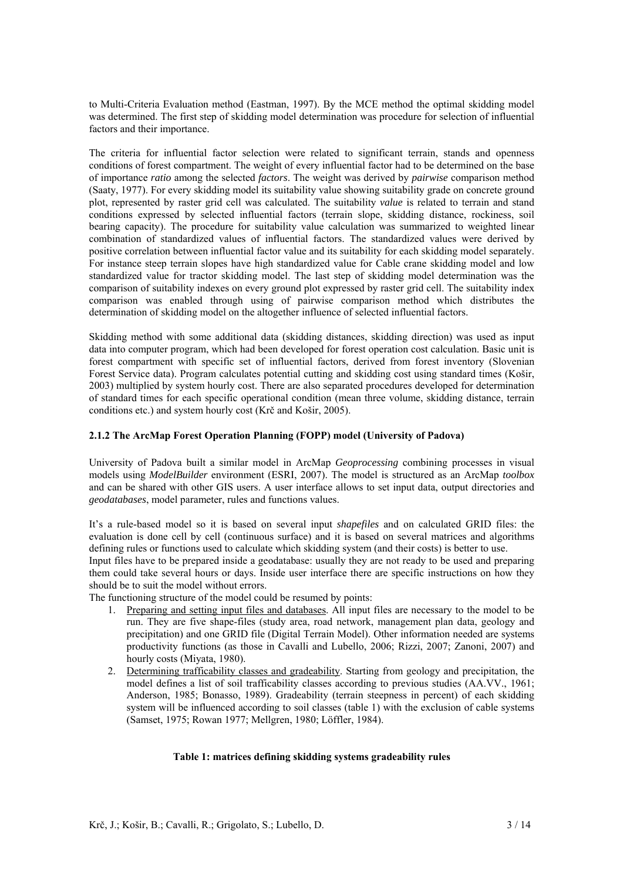to Multi-Criteria Evaluation method (Eastman, 1997). By the MCE method the optimal skidding model was determined. The first step of skidding model determination was procedure for selection of influential factors and their importance.

The criteria for influential factor selection were related to significant terrain, stands and openness conditions of forest compartment. The weight of every influential factor had to be determined on the base of importance *ratio* among the selected *factors*. The weight was derived by *pairwise* comparison method (Saaty, 1977). For every skidding model its suitability value showing suitability grade on concrete ground plot, represented by raster grid cell was calculated. The suitability *value* is related to terrain and stand conditions expressed by selected influential factors (terrain slope, skidding distance, rockiness, soil bearing capacity). The procedure for suitability value calculation was summarized to weighted linear combination of standardized values of influential factors. The standardized values were derived by positive correlation between influential factor value and its suitability for each skidding model separately. For instance steep terrain slopes have high standardized value for Cable crane skidding model and low standardized value for tractor skidding model. The last step of skidding model determination was the comparison of suitability indexes on every ground plot expressed by raster grid cell. The suitability index comparison was enabled through using of pairwise comparison method which distributes the determination of skidding model on the altogether influence of selected influential factors.

Skidding method with some additional data (skidding distances, skidding direction) was used as input data into computer program, which had been developed for forest operation cost calculation. Basic unit is forest compartment with specific set of influential factors, derived from forest inventory (Slovenian Forest Service data). Program calculates potential cutting and skidding cost using standard times (Košir, 2003) multiplied by system hourly cost. There are also separated procedures developed for determination of standard times for each specific operational condition (mean three volume, skidding distance, terrain conditions etc.) and system hourly cost (Krč and Košir, 2005).

### **2.1.2 The ArcMap Forest Operation Planning (FOPP) model (University of Padova)**

University of Padova built a similar model in ArcMap *Geoprocessing* combining processes in visual models using *ModelBuilder* environment (ESRI, 2007). The model is structured as an ArcMap *toolbox* and can be shared with other GIS users. A user interface allows to set input data, output directories and *geodatabases*, model parameter, rules and functions values.

It's a rule-based model so it is based on several input *shapefiles* and on calculated GRID files: the evaluation is done cell by cell (continuous surface) and it is based on several matrices and algorithms defining rules or functions used to calculate which skidding system (and their costs) is better to use.

Input files have to be prepared inside a geodatabase: usually they are not ready to be used and preparing them could take several hours or days. Inside user interface there are specific instructions on how they should be to suit the model without errors.

The functioning structure of the model could be resumed by points:

- 1. Preparing and setting input files and databases. All input files are necessary to the model to be run. They are five shape-files (study area, road network, management plan data, geology and precipitation) and one GRID file (Digital Terrain Model). Other information needed are systems productivity functions (as those in Cavalli and Lubello, 2006; Rizzi, 2007; Zanoni, 2007) and hourly costs (Miyata, 1980).
- 2. Determining trafficability classes and gradeability. Starting from geology and precipitation, the model defines a list of soil trafficability classes according to previous studies (AA.VV., 1961; Anderson, 1985; Bonasso, 1989). Gradeability (terrain steepness in percent) of each skidding system will be influenced according to soil classes (table 1) with the exclusion of cable systems (Samset, 1975; Rowan 1977; Mellgren, 1980; Löffler, 1984).

### **Table 1: matrices defining skidding systems gradeability rules**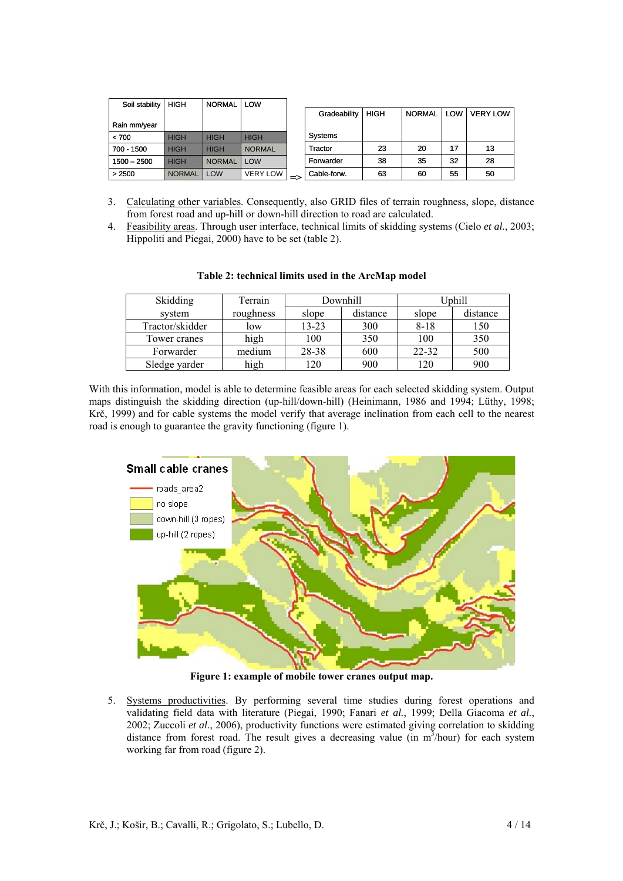| Soil stability | <b>HIGH</b>   | <b>NORMAL</b> | LOW             |               |              |             |               |            |                 |
|----------------|---------------|---------------|-----------------|---------------|--------------|-------------|---------------|------------|-----------------|
|                |               |               |                 |               | Gradeability | <b>HIGH</b> | <b>NORMAL</b> | <b>LOW</b> | <b>VERY LOW</b> |
| Rain mm/year   |               |               |                 |               |              |             |               |            |                 |
| < 700          | <b>HIGH</b>   | <b>HIGH</b>   | <b>HIGH</b>     |               | Systems      |             |               |            |                 |
| 700 - 1500     | <b>HIGH</b>   | <b>HIGH</b>   | <b>NORMAL</b>   |               | Tractor      | 23          | 20            | 17         | 13              |
| $1500 - 2500$  | <b>HIGH</b>   | <b>NORMAL</b> | LOW             |               | Forwarder    | 38          | 35            | 32         | 28              |
| > 2500         | <b>NORMAL</b> | LOW           | <b>VERY LOW</b> | $\Rightarrow$ | Cable-forw.  | 63          | 60            | 55         | 50              |

- 3. Calculating other variables. Consequently, also GRID files of terrain roughness, slope, distance from forest road and up-hill or down-hill direction to road are calculated.
- 4. Feasibility areas. Through user interface, technical limits of skidding systems (Cielo *et al.*, 2003; Hippoliti and Piegai, 2000) have to be set (table 2).

| Skidding        | Terrain   |       | Downhill | Jphill    |          |  |
|-----------------|-----------|-------|----------|-----------|----------|--|
| system          | roughness | slope | distance | slope     | distance |  |
| Tractor/skidder | low       | 13-23 | 300      | $8 - 18$  | 150      |  |
| Tower cranes    | high      | 100   | 350      | 100       | 350      |  |
| Forwarder       | medium    | 28-38 | 600      | $22 - 32$ | 500      |  |
| Sledge varder   | high      | 120   | 900      | 120       | 900      |  |

**Table 2: technical limits used in the ArcMap model** 

With this information, model is able to determine feasible areas for each selected skidding system. Output maps distinguish the skidding direction (up-hill/down-hill) (Heinimann, 1986 and 1994; Lüthy, 1998; Krč, 1999) and for cable systems the model verify that average inclination from each cell to the nearest road is enough to guarantee the gravity functioning (figure 1).



**Figure 1: example of mobile tower cranes output map.** 

5. Systems productivities. By performing several time studies during forest operations and validating field data with literature (Piegai, 1990; Fanari *et al.*, 1999; Della Giacoma *et al.*, 2002; Zuccoli *et al.*, 2006), productivity functions were estimated giving correlation to skidding distance from forest road. The result gives a decreasing value (in  $m^3$ /hour) for each system working far from road (figure 2).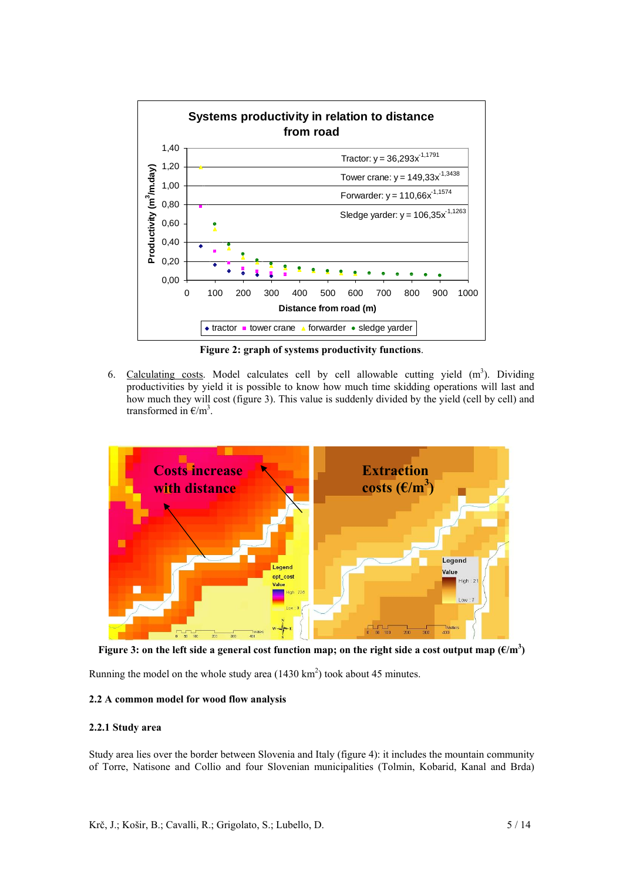

**Figure 2: graph of systems productivity functions**.

6. Calculating costs. Model calculates cell by cell allowable cutting yield  $(m<sup>3</sup>)$ . Dividing productivities by yield it is possible to know how much time skidding operations will last and how much they will cost (figure 3). This value is suddenly divided by the yield (cell by cell) and transformed in  $\epsilon/m^3$ .



Figure 3: on the left side a general cost function map; on the right side a cost output map  $(\text{\textsterling} / \text{m}^3)$ 

Running the model on the whole study area  $(1430 \text{ km}^2)$  took about 45 minutes.

# **2.2 A common model for wood flow analysis**

### **2.2.1 Study area**

Study area lies over the border between Slovenia and Italy (figure 4): it includes the mountain community of Torre, Natisone and Collio and four Slovenian municipalities (Tolmin, Kobarid, Kanal and Brda)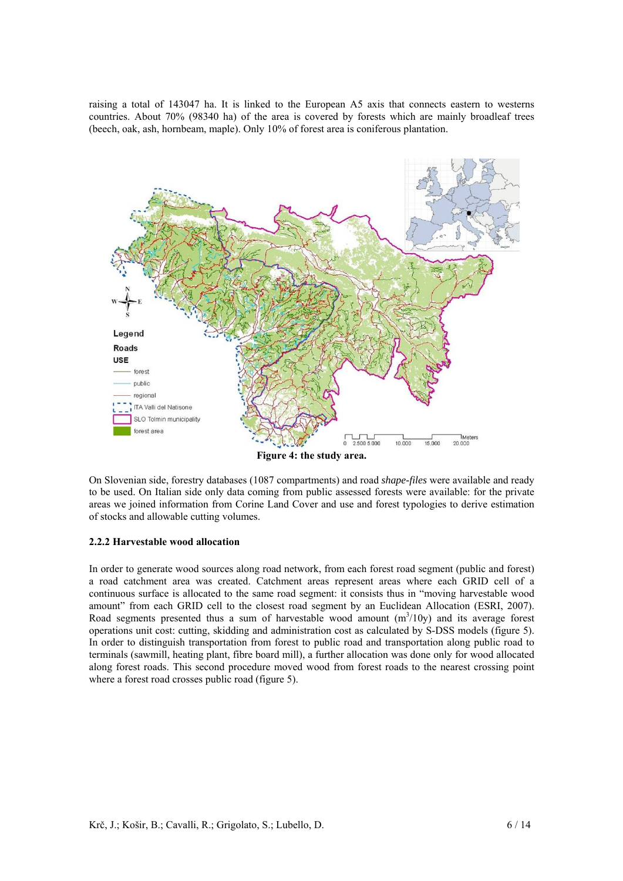raising a total of 143047 ha. It is linked to the European A5 axis that connects eastern to westerns countries. About 70% (98340 ha) of the area is covered by forests which are mainly broadleaf trees (beech, oak, ash, hornbeam, maple). Only 10% of forest area is coniferous plantation.



On Slovenian side, forestry databases (1087 compartments) and road *shape-files* were available and ready to be used. On Italian side only data coming from public assessed forests were available: for the private areas we joined information from Corine Land Cover and use and forest typologies to derive estimation of stocks and allowable cutting volumes.

### **2.2.2 Harvestable wood allocation**

In order to generate wood sources along road network, from each forest road segment (public and forest) a road catchment area was created. Catchment areas represent areas where each GRID cell of a continuous surface is allocated to the same road segment: it consists thus in "moving harvestable wood amount" from each GRID cell to the closest road segment by an Euclidean Allocation (ESRI, 2007). Road segments presented thus a sum of harvestable wood amount  $(m<sup>3</sup>/10y)$  and its average forest operations unit cost: cutting, skidding and administration cost as calculated by S-DSS models (figure 5). In order to distinguish transportation from forest to public road and transportation along public road to terminals (sawmill, heating plant, fibre board mill), a further allocation was done only for wood allocated along forest roads. This second procedure moved wood from forest roads to the nearest crossing point where a forest road crosses public road (figure 5).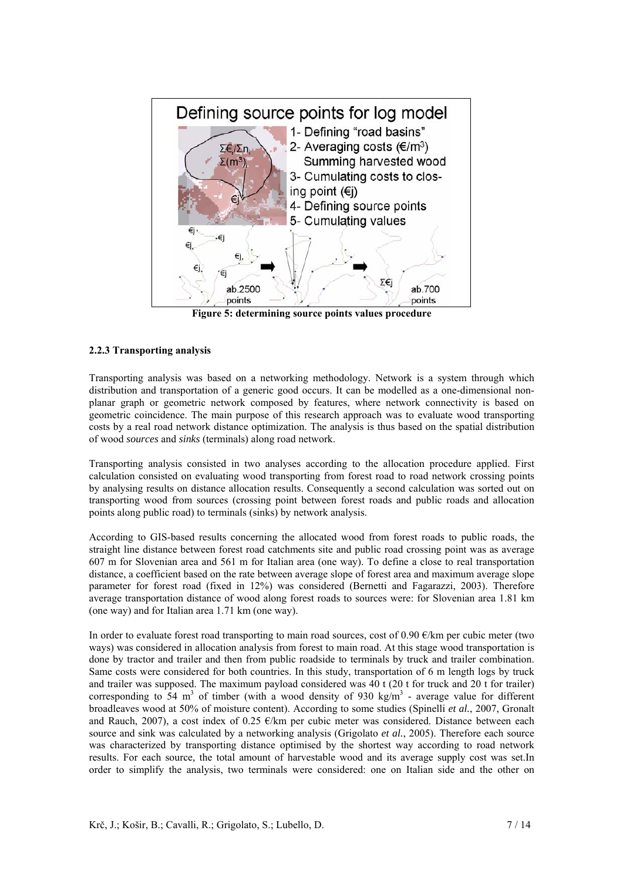

**Figure 5: determining source points values procedure** 

### **2.2.3 Transporting analysis**

Transporting analysis was based on a networking methodology. Network is a system through which distribution and transportation of a generic good occurs. It can be modelled as a one-dimensional nonplanar graph or geometric network composed by features, where network connectivity is based on geometric coincidence. The main purpose of this research approach was to evaluate wood transporting costs by a real road network distance optimization. The analysis is thus based on the spatial distribution of wood *sources* and *sinks* (terminals) along road network.

Transporting analysis consisted in two analyses according to the allocation procedure applied. First calculation consisted on evaluating wood transporting from forest road to road network crossing points by analysing results on distance allocation results. Consequently a second calculation was sorted out on transporting wood from sources (crossing point between forest roads and public roads and allocation points along public road) to terminals (sinks) by network analysis.

According to GIS-based results concerning the allocated wood from forest roads to public roads, the straight line distance between forest road catchments site and public road crossing point was as average 607 m for Slovenian area and 561 m for Italian area (one way). To define a close to real transportation distance, a coefficient based on the rate between average slope of forest area and maximum average slope parameter for forest road (fixed in 12%) was considered (Bernetti and Fagarazzi, 2003). Therefore average transportation distance of wood along forest roads to sources were: for Slovenian area 1.81 km (one way) and for Italian area 1.71 km (one way).

In order to evaluate forest road transporting to main road sources, cost of 0.90  $\epsilon$ /km per cubic meter (two ways) was considered in allocation analysis from forest to main road. At this stage wood transportation is done by tractor and trailer and then from public roadside to terminals by truck and trailer combination. Same costs were considered for both countries. In this study, transportation of 6 m length logs by truck and trailer was supposed. The maximum payload considered was 40 t (20 t for truck and 20 t for trailer) corresponding to 54 m<sup>3</sup> of timber (with a wood density of 930 kg/m<sup>3</sup> - average value for different broadleaves wood at 50% of moisture content). According to some studies (Spinelli *et al.*, 2007, Gronalt and Rauch, 2007), a cost index of 0.25  $\epsilon$ /km per cubic meter was considered. Distance between each source and sink was calculated by a networking analysis (Grigolato *et al.*, 2005). Therefore each source was characterized by transporting distance optimised by the shortest way according to road network results. For each source*,* the total amount of harvestable wood and its average supply cost was set.In order to simplify the analysis, two terminals were considered: one on Italian side and the other on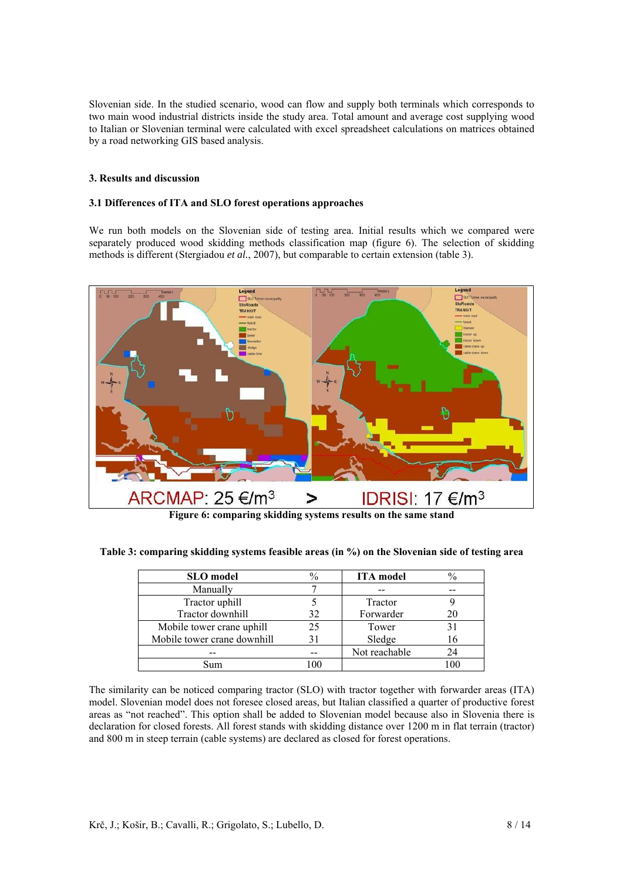Slovenian side. In the studied scenario, wood can flow and supply both terminals which corresponds to two main wood industrial districts inside the study area. Total amount and average cost supplying wood to Italian or Slovenian terminal were calculated with excel spreadsheet calculations on matrices obtained by a road networking GIS based analysis.

# **3. Results and discussion**

# **3.1 Differences of ITA and SLO forest operations approaches**

We run both models on the Slovenian side of testing area. Initial results which we compared were separately produced wood skidding methods classification map (figure 6). The selection of skidding methods is different (Stergiadou *et al.*, 2007), but comparable to certain extension (table 3).



**Figure 6: comparing skidding systems results on the same stand** 

|  |  |  |  | Table 3: comparing skidding systems feasible areas (in %) on the Slovenian side of testing area |
|--|--|--|--|-------------------------------------------------------------------------------------------------|
|  |  |  |  |                                                                                                 |

| <b>SLO</b> model            | $\%$ | <b>ITA</b> model | $\%$ |
|-----------------------------|------|------------------|------|
| Manually                    |      |                  |      |
| Tractor uphill              |      | Tractor          |      |
| Tractor downhill            | 32   | Forwarder        | 20   |
| Mobile tower crane uphill   | 25   | Tower            | 31   |
| Mobile tower crane downhill | 31   | Sledge           | 16   |
|                             |      | Not reachable    | 24   |
| Sum                         | 00 ا |                  | 100  |

The similarity can be noticed comparing tractor (SLO) with tractor together with forwarder areas (ITA) model. Slovenian model does not foresee closed areas, but Italian classified a quarter of productive forest areas as "not reached". This option shall be added to Slovenian model because also in Slovenia there is declaration for closed forests. All forest stands with skidding distance over 1200 m in flat terrain (tractor) and 800 m in steep terrain (cable systems) are declared as closed for forest operations.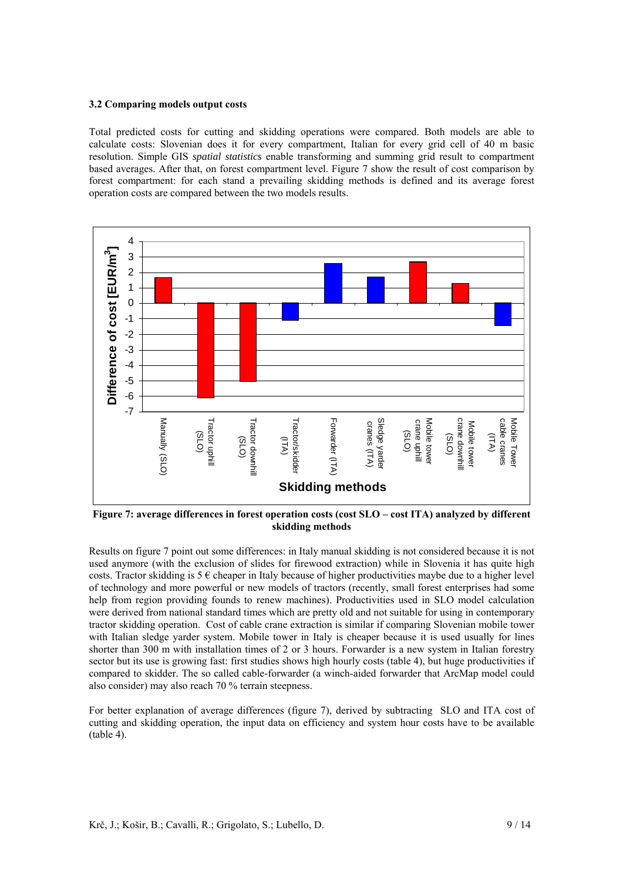#### **3.2 Comparing models output costs**

Total predicted costs for cutting and skidding operations were compared. Both models are able to calculate costs: Slovenian does it for every compartment, Italian for every grid cell of 40 m basic resolution. Simple GIS *spatial statistics* enable transforming and summing grid result to compartment based averages. After that, on forest compartment level. Figure 7 show the result of cost comparison by forest compartment: for each stand a prevailing skidding methods is defined and its average forest operation costs are compared between the two models results.



**Figure 7: average differences in forest operation costs (cost SLO – cost ITA) analyzed by different skidding methods** 

Results on figure 7 point out some differences: in Italy manual skidding is not considered because it is not used anymore (with the exclusion of slides for firewood extraction) while in Slovenia it has quite high costs. Tractor skidding is  $5 \in \text{cheaper}$  in Italy because of higher productivities maybe due to a higher level of technology and more powerful or new models of tractors (recently, small forest enterprises had some help from region providing founds to renew machines). Productivities used in SLO model calculation were derived from national standard times which are pretty old and not suitable for using in contemporary tractor skidding operation. Cost of cable crane extraction is similar if comparing Slovenian mobile tower with Italian sledge yarder system. Mobile tower in Italy is cheaper because it is used usually for lines shorter than 300 m with installation times of 2 or 3 hours. Forwarder is a new system in Italian forestry sector but its use is growing fast: first studies shows high hourly costs (table 4), but huge productivities if compared to skidder. The so called cable-forwarder (a winch-aided forwarder that ArcMap model could also consider) may also reach 70 % terrain steepness.

For better explanation of average differences (figure 7), derived by subtracting SLO and ITA cost of cutting and skidding operation, the input data on efficiency and system hour costs have to be available (table 4).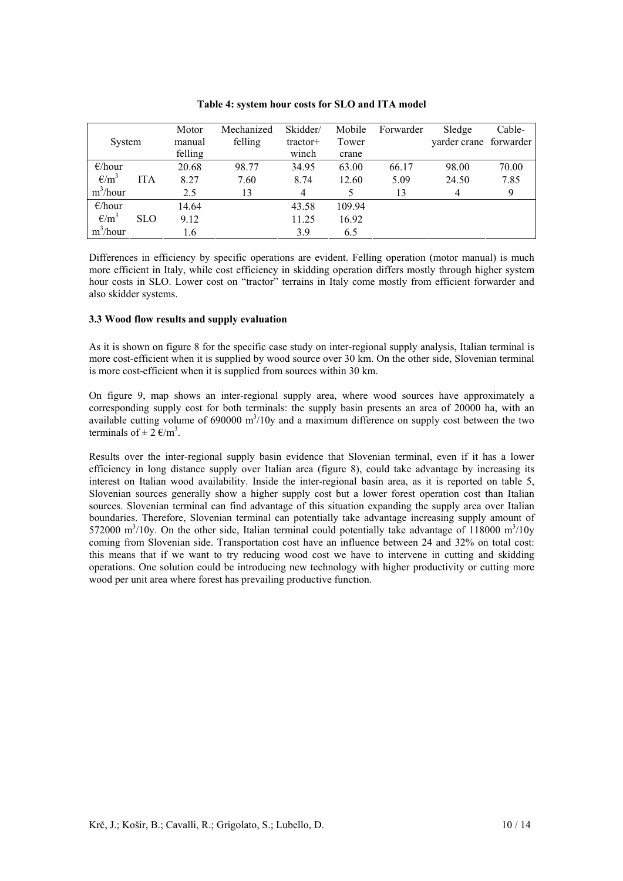| System           |            | Motor<br>manual<br>felling | Mechanized<br>felling | Skidder/<br>tractor+<br>winch | Mobile<br>Tower<br>crane | Forwarder | Sledge<br>yarder crane forwarder | Cable- |
|------------------|------------|----------------------------|-----------------------|-------------------------------|--------------------------|-----------|----------------------------------|--------|
| $\epsilon$ /hour |            | 20.68                      | 98.77                 | 34.95                         | 63.00                    | 66.17     | 98.00                            | 70.00  |
| $\epsilon/m^3$   | <b>ITA</b> | 8.27                       | 7.60                  | 8.74                          | 12.60                    | 5.09      | 24.50                            | 7.85   |
| $m^3/h$ our      |            | 2.5                        | 13                    | $\overline{4}$                |                          | 13        | 4                                | 9      |
| E/hour           |            | 14.64                      |                       | 43.58                         | 109.94                   |           |                                  |        |
| $\epsilon/m^3$   | <b>SLO</b> | 9.12                       |                       | 11.25                         | 16.92                    |           |                                  |        |
| $m^3/h$ our      |            | 1.6                        |                       | 3.9                           | 6.5                      |           |                                  |        |

**Table 4: system hour costs for SLO and ITA model** 

Differences in efficiency by specific operations are evident. Felling operation (motor manual) is much more efficient in Italy, while cost efficiency in skidding operation differs mostly through higher system hour costs in SLO. Lower cost on "tractor" terrains in Italy come mostly from efficient forwarder and also skidder systems.

### **3.3 Wood flow results and supply evaluation**

As it is shown on figure 8 for the specific case study on inter-regional supply analysis, Italian terminal is more cost-efficient when it is supplied by wood source over 30 km. On the other side, Slovenian terminal is more cost-efficient when it is supplied from sources within 30 km.

On figure 9, map shows an inter-regional supply area, where wood sources have approximately a corresponding supply cost for both terminals: the supply basin presents an area of 20000 ha, with an available cutting volume of  $690000 \text{ m}^3/10y$  and a maximum difference on supply cost between the two terminals of  $\pm 2 \text{ E/m}^3$ .

Results over the inter-regional supply basin evidence that Slovenian terminal, even if it has a lower efficiency in long distance supply over Italian area (figure 8), could take advantage by increasing its interest on Italian wood availability. Inside the inter-regional basin area, as it is reported on table 5, Slovenian sources generally show a higher supply cost but a lower forest operation cost than Italian sources. Slovenian terminal can find advantage of this situation expanding the supply area over Italian boundaries. Therefore, Slovenian terminal can potentially take advantage increasing supply amount of 572000 m<sup>3</sup>/10y. On the other side, Italian terminal could potentially take advantage of 118000 m<sup>3</sup>/10y coming from Slovenian side. Transportation cost have an influence between 24 and 32% on total cost: this means that if we want to try reducing wood cost we have to intervene in cutting and skidding operations. One solution could be introducing new technology with higher productivity or cutting more wood per unit area where forest has prevailing productive function.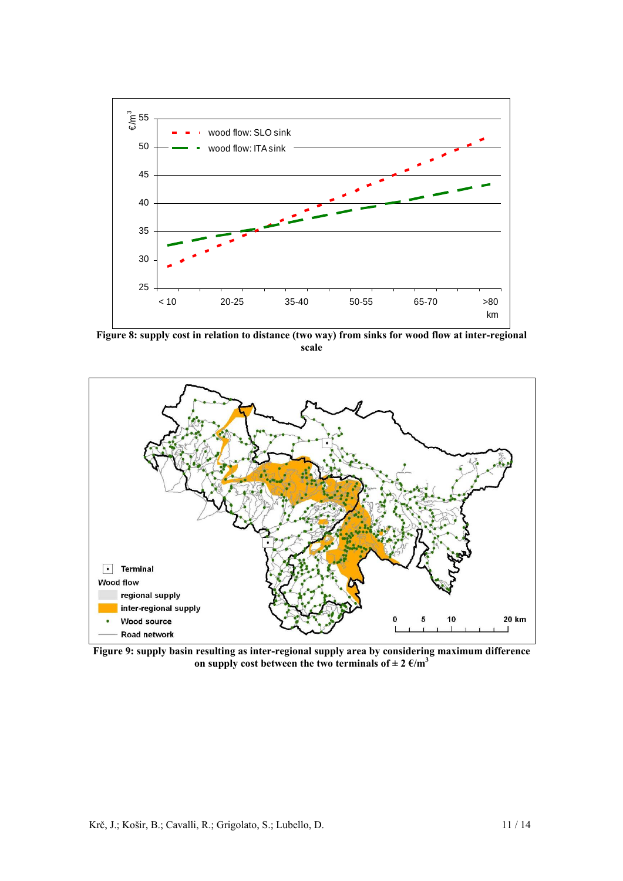

**Figure 8: supply cost in relation to distance (two way) from sinks for wood flow at inter-regional scale** 



**Figure 9: supply basin resulting as inter-regional supply area by considering maximum difference**  on supply cost between the two terminals of  $\pm 2 \text{ } \epsilon/\text{m}^3$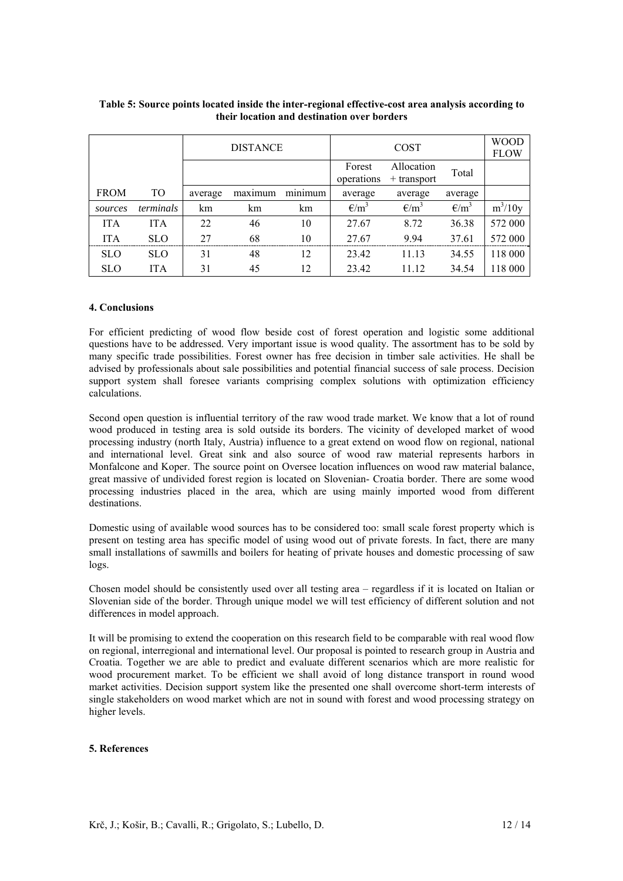|             |            | <b>DISTANCE</b> |         |                            |                      | <b>WOOD</b><br><b>FLOW</b> |                |           |
|-------------|------------|-----------------|---------|----------------------------|----------------------|----------------------------|----------------|-----------|
|             |            |                 |         |                            | Forest<br>operations | Allocation<br>+ transport  | Total          |           |
| <b>FROM</b> | TO         | average         | maximum | $\cdot$ $\cdot$<br>minimum | average              | average                    | average        |           |
| sources     | terminals  | km              | km      | km                         | $\epsilon/m^3$       | $\epsilon/m^3$             | $\epsilon/m^3$ | $m^3/10y$ |
| <b>ITA</b>  | <b>ITA</b> | 22              | 46      | 10                         | 27.67                | 8.72                       | 36.38          | 572 000   |
| <b>ITA</b>  | <b>SLO</b> | 27              | 68      | 10                         | 27.67                | 9.94                       | 37.61          | 572 000   |
| <b>SLO</b>  | <b>SLO</b> | 31              | 48      | 12                         | 23.42                | 11.13                      | 34.55          | 118 000   |
| <b>SLO</b>  | <b>ITA</b> | 31              | 45      | 12                         | 23.42                | 11.12                      | 34.54          | 118 000   |

# **Table 5: Source points located inside the inter-regional effective-cost area analysis according to their location and destination over borders**

### **4. Conclusions**

For efficient predicting of wood flow beside cost of forest operation and logistic some additional questions have to be addressed. Very important issue is wood quality. The assortment has to be sold by many specific trade possibilities. Forest owner has free decision in timber sale activities. He shall be advised by professionals about sale possibilities and potential financial success of sale process. Decision support system shall foresee variants comprising complex solutions with optimization efficiency calculations.

Second open question is influential territory of the raw wood trade market. We know that a lot of round wood produced in testing area is sold outside its borders. The vicinity of developed market of wood processing industry (north Italy, Austria) influence to a great extend on wood flow on regional, national and international level. Great sink and also source of wood raw material represents harbors in Monfalcone and Koper. The source point on Oversee location influences on wood raw material balance, great massive of undivided forest region is located on Slovenian- Croatia border. There are some wood processing industries placed in the area, which are using mainly imported wood from different destinations.

Domestic using of available wood sources has to be considered too: small scale forest property which is present on testing area has specific model of using wood out of private forests. In fact, there are many small installations of sawmills and boilers for heating of private houses and domestic processing of saw logs.

Chosen model should be consistently used over all testing area – regardless if it is located on Italian or Slovenian side of the border. Through unique model we will test efficiency of different solution and not differences in model approach.

It will be promising to extend the cooperation on this research field to be comparable with real wood flow on regional, interregional and international level. Our proposal is pointed to research group in Austria and Croatia. Together we are able to predict and evaluate different scenarios which are more realistic for wood procurement market. To be efficient we shall avoid of long distance transport in round wood market activities. Decision support system like the presented one shall overcome short-term interests of single stakeholders on wood market which are not in sound with forest and wood processing strategy on higher levels.

### **5. References**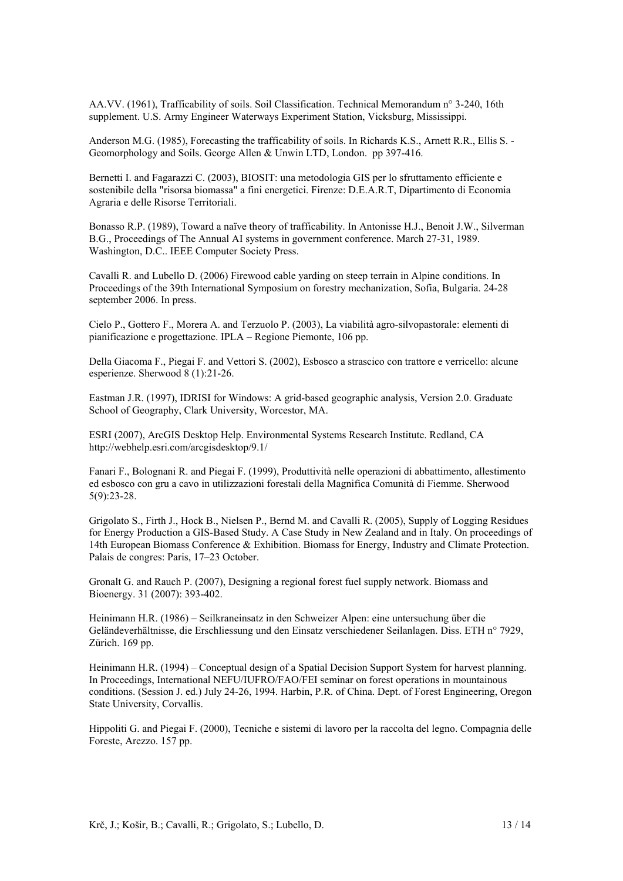AA.VV. (1961), Trafficability of soils. Soil Classification. Technical Memorandum n° 3-240, 16th supplement. U.S. Army Engineer Waterways Experiment Station, Vicksburg, Mississippi.

Anderson M.G. (1985), Forecasting the trafficability of soils. In Richards K.S., Arnett R.R., Ellis S. - Geomorphology and Soils. George Allen & Unwin LTD, London. pp 397-416.

Bernetti I. and Fagarazzi C. (2003), BIOSIT: una metodologia GIS per lo sfruttamento efficiente e sostenibile della "risorsa biomassa" a fini energetici. Firenze: D.E.A.R.T, Dipartimento di Economia Agraria e delle Risorse Territoriali.

Bonasso R.P. (1989), Toward a naïve theory of trafficability. In Antonisse H.J., Benoit J.W., Silverman B.G., Proceedings of The Annual AI systems in government conference. March 27-31, 1989. Washington, D.C.. IEEE Computer Society Press.

Cavalli R. and Lubello D. (2006) Firewood cable yarding on steep terrain in Alpine conditions. In Proceedings of the 39th International Symposium on forestry mechanization, Sofia, Bulgaria. 24-28 september 2006. In press.

Cielo P., Gottero F., Morera A. and Terzuolo P. (2003), La viabilità agro-silvopastorale: elementi di pianificazione e progettazione. IPLA – Regione Piemonte, 106 pp.

Della Giacoma F., Piegai F. and Vettori S. (2002), Esbosco a strascico con trattore e verricello: alcune esperienze. Sherwood 8 (1):21-26.

Eastman J.R. (1997), IDRISI for Windows: A grid-based geographic analysis, Version 2.0. Graduate School of Geography, Clark University, Worcestor, MA.

ESRI (2007), ArcGIS Desktop Help. Environmental Systems Research Institute. Redland, CA http://webhelp.esri.com/arcgisdesktop/9.1/

Fanari F., Bolognani R. and Piegai F. (1999), Produttività nelle operazioni di abbattimento, allestimento ed esbosco con gru a cavo in utilizzazioni forestali della Magnifica Comunità di Fiemme. Sherwood 5(9):23-28.

Grigolato S., Firth J., Hock B., Nielsen P., Bernd M. and Cavalli R. (2005), Supply of Logging Residues for Energy Production a GIS-Based Study. A Case Study in New Zealand and in Italy. On proceedings of 14th European Biomass Conference & Exhibition. Biomass for Energy, Industry and Climate Protection. Palais de congres: Paris, 17–23 October.

Gronalt G. and Rauch P. (2007), Designing a regional forest fuel supply network. Biomass and Bioenergy. 31 (2007): 393-402.

Heinimann H.R. (1986) – Seilkraneinsatz in den Schweizer Alpen: eine untersuchung über die Geländeverhältnisse, die Erschliessung und den Einsatz verschiedener Seilanlagen. Diss. ETH n° 7929, Zürich. 169 pp.

Heinimann H.R. (1994) – Conceptual design of a Spatial Decision Support System for harvest planning. In Proceedings, International NEFU/IUFRO/FAO/FEI seminar on forest operations in mountainous conditions. (Session J. ed.) July 24-26, 1994. Harbin, P.R. of China. Dept. of Forest Engineering, Oregon State University, Corvallis.

Hippoliti G. and Piegai F. (2000), Tecniche e sistemi di lavoro per la raccolta del legno. Compagnia delle Foreste, Arezzo. 157 pp.